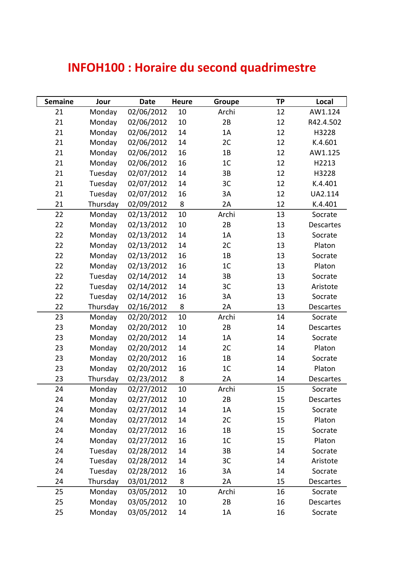## **INFOH100 : Horaire du second quadrimestre**

| <b>Semaine</b> | Jour     | <b>Date</b> | <b>Heure</b> | Groupe         | <b>TP</b> | Local            |
|----------------|----------|-------------|--------------|----------------|-----------|------------------|
| 21             | Monday   | 02/06/2012  | 10           | Archi          | 12        | AW1.124          |
| 21             | Monday   | 02/06/2012  | 10           | 2B             | 12        | R42.4.502        |
| 21             | Monday   | 02/06/2012  | 14           | 1A             | 12        | H3228            |
| 21             | Monday   | 02/06/2012  | 14           | 2C             | 12        | K.4.601          |
| 21             | Monday   | 02/06/2012  | 16           | 1B             | 12        | AW1.125          |
| 21             | Monday   | 02/06/2012  | 16           | 1C             | 12        | H2213            |
| 21             | Tuesday  | 02/07/2012  | 14           | 3B             | 12        | H3228            |
| 21             | Tuesday  | 02/07/2012  | 14           | 3C             | 12        | K.4.401          |
| 21             | Tuesday  | 02/07/2012  | 16           | 3A             | 12        | UA2.114          |
| 21             | Thursday | 02/09/2012  | 8            | 2A             | 12        | K.4.401          |
| 22             | Monday   | 02/13/2012  | 10           | Archi          | 13        | Socrate          |
| 22             | Monday   | 02/13/2012  | 10           | 2B             | 13        | Descartes        |
| 22             | Monday   | 02/13/2012  | 14           | 1A             | 13        | Socrate          |
| 22             | Monday   | 02/13/2012  | 14           | 2C             | 13        | Platon           |
| 22             | Monday   | 02/13/2012  | 16           | 1B             | 13        | Socrate          |
| 22             | Monday   | 02/13/2012  | 16           | 1C             | 13        | Platon           |
| 22             | Tuesday  | 02/14/2012  | 14           | 3B             | 13        | Socrate          |
| 22             | Tuesday  | 02/14/2012  | 14           | 3C             | 13        | Aristote         |
| 22             | Tuesday  | 02/14/2012  | 16           | 3A             | 13        | Socrate          |
| 22             | Thursday | 02/16/2012  | 8            | 2A             | 13        | Descartes        |
| 23             | Monday   | 02/20/2012  | 10           | Archi          | 14        | Socrate          |
| 23             | Monday   | 02/20/2012  | 10           | 2B             | 14        | Descartes        |
| 23             | Monday   | 02/20/2012  | 14           | 1A             | 14        | Socrate          |
| 23             | Monday   | 02/20/2012  | 14           | 2C             | 14        | Platon           |
| 23             | Monday   | 02/20/2012  | 16           | 1B             | 14        | Socrate          |
| 23             | Monday   | 02/20/2012  | 16           | 1 <sup>C</sup> | 14        | Platon           |
| 23             | Thursday | 02/23/2012  | 8            | 2A             | 14        | Descartes        |
| 24             | Monday   | 02/27/2012  | 10           | Archi          | 15        | Socrate          |
| 24             | Monday   | 02/27/2012  | 10           | 2B             | 15        | <b>Descartes</b> |
| 24             | Monday   | 02/27/2012  | 14           | 1A             | 15        | Socrate          |
| 24             | Monday   | 02/27/2012  | 14           | 2C             | 15        | Platon           |
| 24             | Monday   | 02/27/2012  | 16           | 1B             | 15        | Socrate          |
| 24             | Monday   | 02/27/2012  | 16           | 1C             | 15        | Platon           |
| 24             | Tuesday  | 02/28/2012  | 14           | 3B             | 14        | Socrate          |
| 24             | Tuesday  | 02/28/2012  | 14           | 3C             | 14        | Aristote         |
| 24             | Tuesday  | 02/28/2012  | 16           | 3A             | 14        | Socrate          |
| 24             | Thursday | 03/01/2012  | 8            | 2A             | 15        | Descartes        |
| 25             | Monday   | 03/05/2012  | 10           | Archi          | 16        | Socrate          |
| 25             | Monday   | 03/05/2012  | 10           | 2B             | 16        | Descartes        |
| 25             | Monday   | 03/05/2012  | 14           | 1A             | 16        | Socrate          |